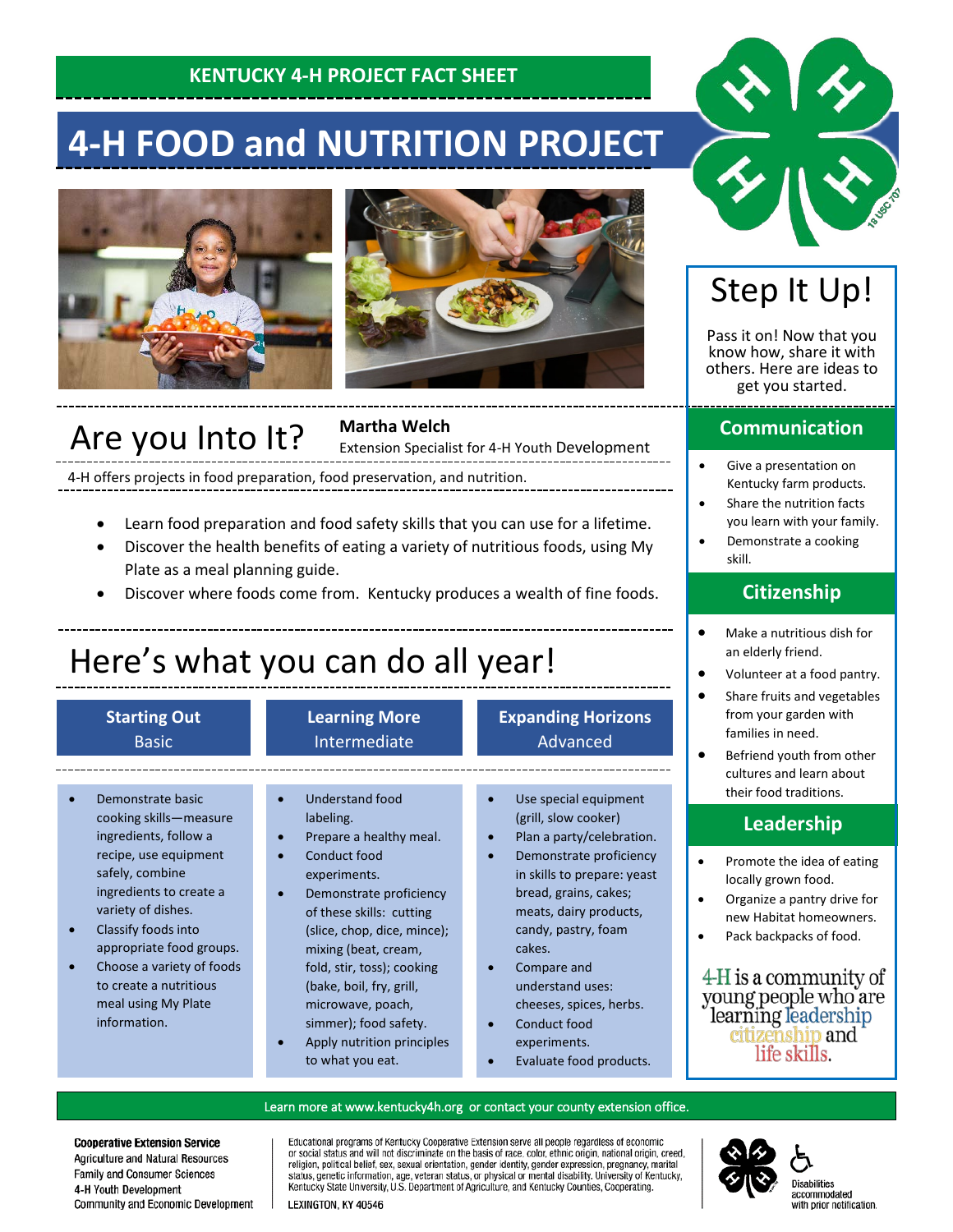### **KENTUCKY 4-H PROJECT FACT SHEET**

# **4-H FOOD and NUTRITION PROJECT**





### Are you Into It?

**Martha Welch**

Extension Specialist for 4-H Youth Development

4-H offers projects in food preparation, food preservation, and nutrition.

- Learn food preparation and food safety skills that you can use for a lifetime.
- Discover the health benefits of eating a variety of nutritious foods, using My Plate as a meal planning guide.
- Discover where foods come from. Kentucky produces a wealth of fine foods.

# Here's what you can do all year!

#### **Starting Out** Basic

#### **Learning More** Intermediate

#### **Expanding Horizons** Advanced

- Demonstrate basic cooking skills—measure ingredients, follow a recipe, use equipment safely, combine ingredients to create a variety of dishes.
- Classify foods into appropriate food groups.
- Choose a variety of foods to create a nutritious meal using My Plate information.
- Understand food labeling.
- Prepare a healthy meal.
	- Conduct food experiments.
	- Demonstrate proficiency of these skills: cutting (slice, chop, dice, mince); mixing (beat, cream, fold, stir, toss); cooking (bake, boil, fry, grill, microwave, poach,
- simmer); food safety. • Apply nutrition principles to what you eat.
- Use special equipment (grill, slow cooker)
- Plan a party/celebration. Demonstrate proficiency
- in skills to prepare: yeast bread, grains, cakes; meats, dairy products, candy, pastry, foam cakes.
- Compare and understand uses: cheeses, spices, herbs.
- Conduct food experiments.
- Evaluate food products.

## Step It Up!

Pass it on! Now that you know how, share it with others. Here are ideas to get you started.

#### **Communication**

- Give a presentation on Kentucky farm products.
- Share the nutrition facts you learn with your family.
- Demonstrate a cooking skill.

### **Citizenship**

- Make a nutritious dish for an elderly friend.
- Volunteer at a food pantry.
- Share fruits and vegetables from your garden with families in need.
- Befriend youth from other cultures and learn about their food traditions.

### **Leadership**

- Promote the idea of eating locally grown food.
- Organize a pantry drive for new Habitat homeowners.
- Pack backpacks of food.

4-H is a community of young people who are learning leadership<br>citizenship and life skills.

#### Learn more at [www.kentucky4h.org](http://www.kentucky4h.org/) or contact your county extension office.

**Cooperative Extension Service** Agriculture and Natural Resources Family and Consumer Sciences 4-H Youth Development Community and Economic Development Educational programs of Kentucky Cooperative Extension serve all people regardless of economic procedul status and will not discriminate on the basis of race, color, ethnic origin, national origin, creed, religion, political belief, sex, sexual orientation, gender identity, gender expression, pregnancy, marital stat Kentucky State University, U.S. Department of Agriculture, and Kentucky Counties, Cooperating.